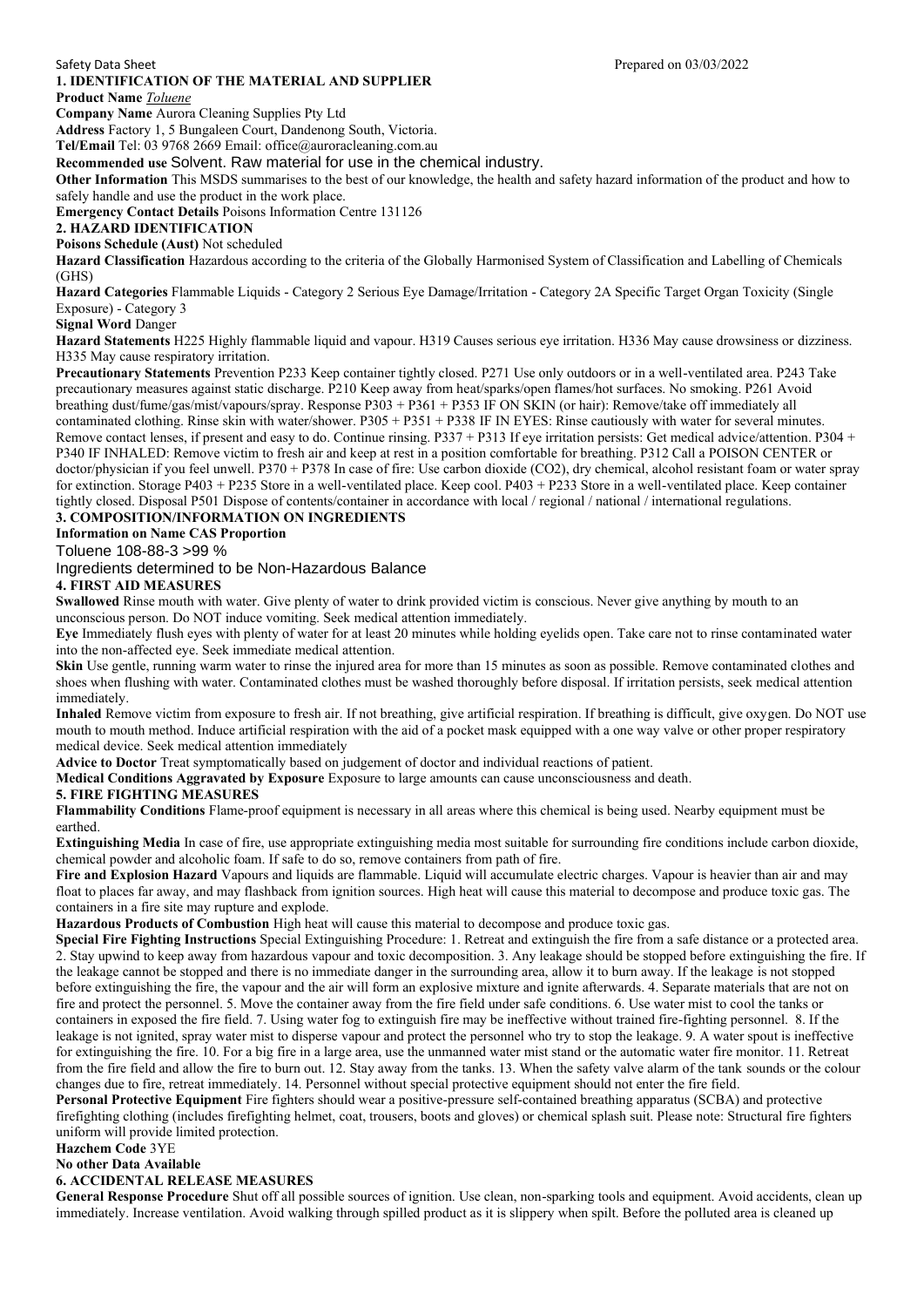### **1. IDENTIFICATION OF THE MATERIAL AND SUPPLIER**

**Product Name** *Toluene* **Company Name** Aurora Cleaning Supplies Pty Ltd

**Address** Factory 1, 5 Bungaleen Court, Dandenong South, Victoria.

**Tel/Email** Tel: 03 9768 2669 Email: office@auroracleaning.com.au

**Recommended use** Solvent. Raw material for use in the chemical industry.

**Other Information** This MSDS summarises to the best of our knowledge, the health and safety hazard information of the product and how to safely handle and use the product in the work place.

**Emergency Contact Details** Poisons Information Centre 131126

# **2. HAZARD IDENTIFICATION**

**Poisons Schedule (Aust)** Not scheduled

**Hazard Classification** Hazardous according to the criteria of the Globally Harmonised System of Classification and Labelling of Chemicals (GHS)

**Hazard Categories** Flammable Liquids - Category 2 Serious Eye Damage/Irritation - Category 2A Specific Target Organ Toxicity (Single Exposure) - Category 3

**Signal Word** Danger

**Hazard Statements** H225 Highly flammable liquid and vapour. H319 Causes serious eye irritation. H336 May cause drowsiness or dizziness. H335 May cause respiratory irritation.

**Precautionary Statements** Prevention P233 Keep container tightly closed. P271 Use only outdoors or in a well-ventilated area. P243 Take precautionary measures against static discharge. P210 Keep away from heat/sparks/open flames/hot surfaces. No smoking. P261 Avoid breathing dust/fume/gas/mist/vapours/spray. Response P303 + P361 + P353 IF ON SKIN (or hair): Remove/take off immediately all contaminated clothing. Rinse skin with water/shower. P305 + P351 + P338 IF IN EYES: Rinse cautiously with water for several minutes. Remove contact lenses, if present and easy to do. Continue rinsing. P337 + P313 If eye irritation persists: Get medical advice/attention. P304 + P340 IF INHALED: Remove victim to fresh air and keep at rest in a position comfortable for breathing. P312 Call a POISON CENTER or doctor/physician if you feel unwell. P370 + P378 In case of fire: Use carbon dioxide (CO2), dry chemical, alcohol resistant foam or water spray for extinction. Storage P403 + P235 Store in a well-ventilated place. Keep cool. P403 + P233 Store in a well-ventilated place. Keep container tightly closed. Disposal P501 Dispose of contents/container in accordance with local / regional / national / international regulations. **3. COMPOSITION/INFORMATION ON INGREDIENTS**

**Information on Name CAS Proportion**

Toluene 108-88-3 >99 %

Ingredients determined to be Non-Hazardous Balance

# **4. FIRST AID MEASURES**

**Swallowed** Rinse mouth with water. Give plenty of water to drink provided victim is conscious. Never give anything by mouth to an unconscious person. Do NOT induce vomiting. Seek medical attention immediately.

**Eye** Immediately flush eyes with plenty of water for at least 20 minutes while holding eyelids open. Take care not to rinse contaminated water into the non-affected eye. Seek immediate medical attention.

Skin Use gentle, running warm water to rinse the injured area for more than 15 minutes as soon as possible. Remove contaminated clothes and shoes when flushing with water. Contaminated clothes must be washed thoroughly before disposal. If irritation persists, seek medical attention immediately.

**Inhaled** Remove victim from exposure to fresh air. If not breathing, give artificial respiration. If breathing is difficult, give oxygen. Do NOT use mouth to mouth method. Induce artificial respiration with the aid of a pocket mask equipped with a one way valve or other proper respiratory medical device. Seek medical attention immediately

**Advice to Doctor** Treat symptomatically based on judgement of doctor and individual reactions of patient.

**Medical Conditions Aggravated by Exposure** Exposure to large amounts can cause unconsciousness and death.

#### **5. FIRE FIGHTING MEASURES**

**Flammability Conditions** Flame-proof equipment is necessary in all areas where this chemical is being used. Nearby equipment must be earthed.

**Extinguishing Media** In case of fire, use appropriate extinguishing media most suitable for surrounding fire conditions include carbon dioxide, chemical powder and alcoholic foam. If safe to do so, remove containers from path of fire.

Fire and Explosion Hazard Vapours and liquids are flammable. Liquid will accumulate electric charges. Vapour is heavier than air and may float to places far away, and may flashback from ignition sources. High heat will cause this material to decompose and produce toxic gas. The containers in a fire site may rupture and explode.

**Hazardous Products of Combustion** High heat will cause this material to decompose and produce toxic gas.

**Special Fire Fighting Instructions** Special Extinguishing Procedure: 1. Retreat and extinguish the fire from a safe distance or a protected area. 2. Stay upwind to keep away from hazardous vapour and toxic decomposition. 3. Any leakage should be stopped before extinguishing the fire. If the leakage cannot be stopped and there is no immediate danger in the surrounding area, allow it to burn away. If the leakage is not stopped before extinguishing the fire, the vapour and the air will form an explosive mixture and ignite afterwards. 4. Separate materials that are not on fire and protect the personnel. 5. Move the container away from the fire field under safe conditions. 6. Use water mist to cool the tanks or containers in exposed the fire field. 7. Using water fog to extinguish fire may be ineffective without trained fire-fighting personnel. 8. If the leakage is not ignited, spray water mist to disperse vapour and protect the personnel who try to stop the leakage. 9. A water spout is ineffective for extinguishing the fire. 10. For a big fire in a large area, use the unmanned water mist stand or the automatic water fire monitor. 11. Retreat from the fire field and allow the fire to burn out. 12. Stay away from the tanks. 13. When the safety valve alarm of the tank sounds or the colour changes due to fire, retreat immediately. 14. Personnel without special protective equipment should not enter the fire field.

**Personal Protective Equipment** Fire fighters should wear a positive-pressure self-contained breathing apparatus (SCBA) and protective firefighting clothing (includes firefighting helmet, coat, trousers, boots and gloves) or chemical splash suit. Please note: Structural fire fighters uniform will provide limited protection.

#### **Hazchem Code** 3YE

#### **No other Data Available**

#### **6. ACCIDENTAL RELEASE MEASURES**

**General Response Procedure** Shut off all possible sources of ignition. Use clean, non-sparking tools and equipment. Avoid accidents, clean up immediately. Increase ventilation. Avoid walking through spilled product as it is slippery when spilt. Before the polluted area is cleaned up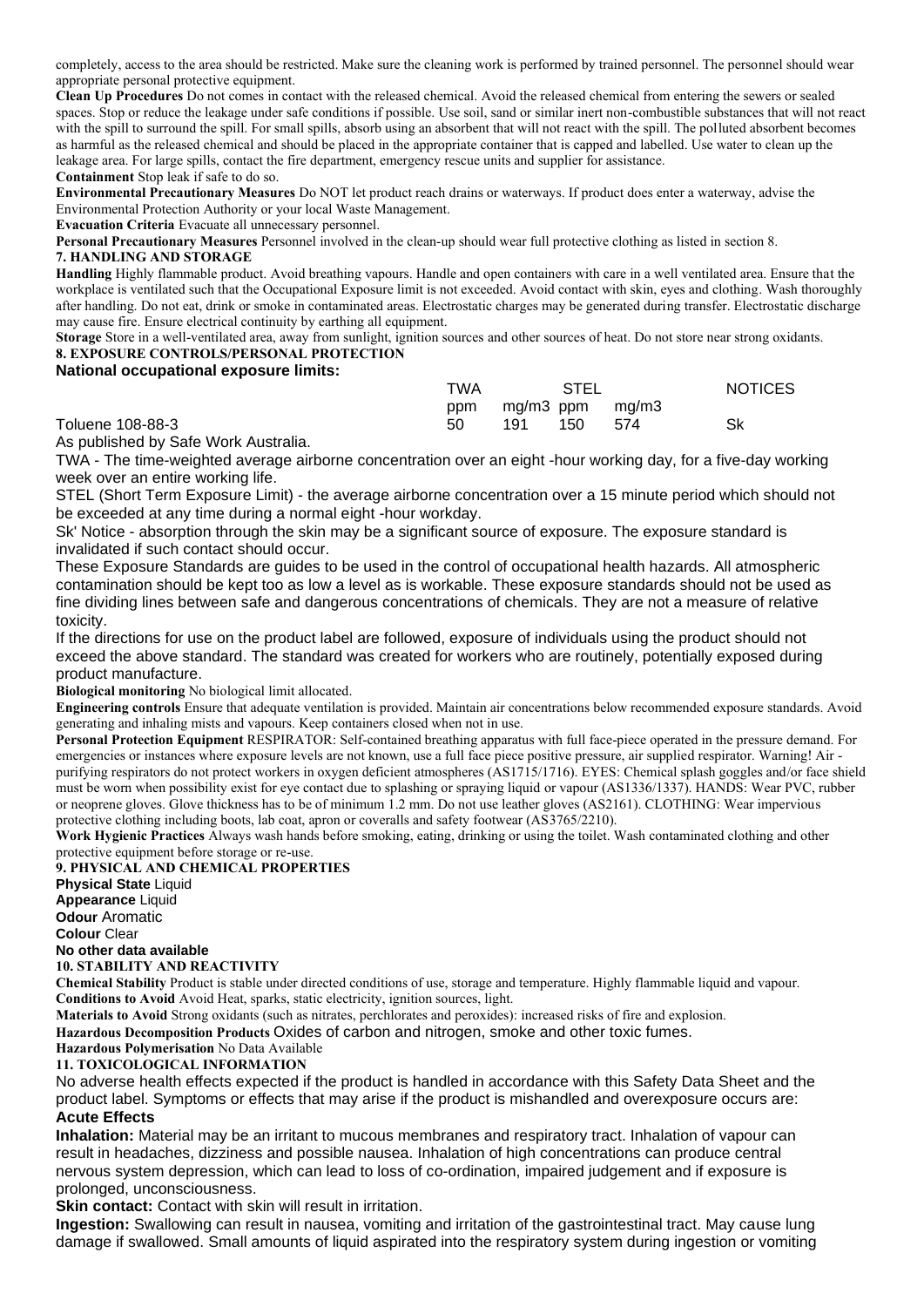completely, access to the area should be restricted. Make sure the cleaning work is performed by trained personnel. The personnel should wear appropriate personal protective equipment.

**Clean Up Procedures** Do not comes in contact with the released chemical. Avoid the released chemical from entering the sewers or sealed spaces. Stop or reduce the leakage under safe conditions if possible. Use soil, sand or similar inert non-combustible substances that will not react with the spill to surround the spill. For small spills, absorb using an absorbent that will not react with the spill. The polluted absorbent becomes as harmful as the released chemical and should be placed in the appropriate container that is capped and labelled. Use water to clean up the leakage area. For large spills, contact the fire department, emergency rescue units and supplier for assistance.

**Containment** Stop leak if safe to do so.

**Environmental Precautionary Measures** Do NOT let product reach drains or waterways. If product does enter a waterway, advise the Environmental Protection Authority or your local Waste Management.

**Evacuation Criteria** Evacuate all unnecessary personnel.

**Personal Precautionary Measures** Personnel involved in the clean-up should wear full protective clothing as listed in section 8.

## **7. HANDLING AND STORAGE**

**Handling** Highly flammable product. Avoid breathing vapours. Handle and open containers with care in a well ventilated area. Ensure that the workplace is ventilated such that the Occupational Exposure limit is not exceeded. Avoid contact with skin, eyes and clothing. Wash thoroughly after handling. Do not eat, drink or smoke in contaminated areas. Electrostatic charges may be generated during transfer. Electrostatic discharge may cause fire. Ensure electrical continuity by earthing all equipment.

**Storage** Store in a well-ventilated area, away from sunlight, ignition sources and other sources of heat. Do not store near strong oxidants. **8. EXPOSURE CONTROLS/PERSONAL PROTECTION**

## **National occupational exposure limits:**

|                                   | TWA       | STEL                          |     | <b>NOTICES</b> |
|-----------------------------------|-----------|-------------------------------|-----|----------------|
| Toluene 108-88-3                  | ppm<br>50 | mg/m3 ppm mg/m3<br>150<br>191 | 574 | Sk             |
| Agriculated by Cofe Mode Augustic |           |                               |     |                |

As published by Safe Work Australia.

TWA - The time-weighted average airborne concentration over an eight -hour working day, for a five-day working week over an entire working life.

STEL (Short Term Exposure Limit) - the average airborne concentration over a 15 minute period which should not be exceeded at any time during a normal eight -hour workday.

Sk' Notice - absorption through the skin may be a significant source of exposure. The exposure standard is invalidated if such contact should occur.

These Exposure Standards are guides to be used in the control of occupational health hazards. All atmospheric contamination should be kept too as low a level as is workable. These exposure standards should not be used as fine dividing lines between safe and dangerous concentrations of chemicals. They are not a measure of relative toxicity.

If the directions for use on the product label are followed, exposure of individuals using the product should not exceed the above standard. The standard was created for workers who are routinely, potentially exposed during product manufacture.

**Biological monitoring** No biological limit allocated.

**Engineering controls** Ensure that adequate ventilation is provided. Maintain air concentrations below recommended exposure standards. Avoid generating and inhaling mists and vapours. Keep containers closed when not in use.

**Personal Protection Equipment** RESPIRATOR: Self-contained breathing apparatus with full face-piece operated in the pressure demand. For emergencies or instances where exposure levels are not known, use a full face piece positive pressure, air supplied respirator. Warning! Air purifying respirators do not protect workers in oxygen deficient atmospheres (AS1715/1716). EYES: Chemical splash goggles and/or face shield must be worn when possibility exist for eye contact due to splashing or spraying liquid or vapour (AS1336/1337). HANDS: Wear PVC, rubber or neoprene gloves. Glove thickness has to be of minimum 1.2 mm. Do not use leather gloves (AS2161). CLOTHING: Wear impervious protective clothing including boots, lab coat, apron or coveralls and safety footwear (AS3765/2210).

**Work Hygienic Practices** Always wash hands before smoking, eating, drinking or using the toilet. Wash contaminated clothing and other protective equipment before storage or re-use.

## **9. PHYSICAL AND CHEMICAL PROPERTIES**

**Physical State** Liquid **Appearance** Liquid **Odour** Aromatic **Colour** Clear **No other data available 10. STABILITY AND REACTIVITY**

**Chemical Stability** Product is stable under directed conditions of use, storage and temperature. Highly flammable liquid and vapour. **Conditions to Avoid** Avoid Heat, sparks, static electricity, ignition sources, light.

**Materials to Avoid** Strong oxidants (such as nitrates, perchlorates and peroxides): increased risks of fire and explosion.

**Hazardous Decomposition Products** Oxides of carbon and nitrogen, smoke and other toxic fumes.

# **Hazardous Polymerisation** No Data Available

**11. TOXICOLOGICAL INFORMATION**

No adverse health effects expected if the product is handled in accordance with this Safety Data Sheet and the product label. Symptoms or effects that may arise if the product is mishandled and overexposure occurs are: **Acute Effects**

**Inhalation:** Material may be an irritant to mucous membranes and respiratory tract. Inhalation of vapour can result in headaches, dizziness and possible nausea. Inhalation of high concentrations can produce central nervous system depression, which can lead to loss of co-ordination, impaired judgement and if exposure is prolonged, unconsciousness.

**Skin contact:** Contact with skin will result in irritation.

**Ingestion:** Swallowing can result in nausea, vomiting and irritation of the gastrointestinal tract. May cause lung damage if swallowed. Small amounts of liquid aspirated into the respiratory system during ingestion or vomiting